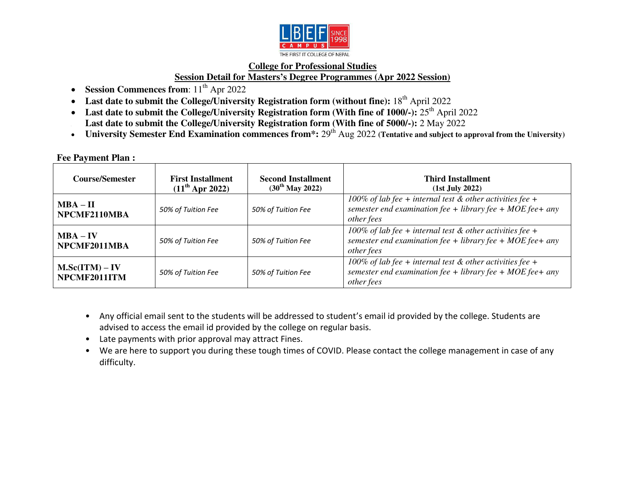

## **College for Professional Studies Session Detail for Masters's Degree Programmes (Apr 2022 Session)**

- Session Commences from:  $11<sup>th</sup>$  Apr 2022
- Last date to submit the College/University Registration form (without fine): 18<sup>th</sup> April 2022
- Last date to submit the College/University Registration form (With fine of 1000/-): 25<sup>th</sup> April 2022 Last date to submit the College/University Registration form (With fine of 5000/-): 2 May 2022
- University Semester End Examination commences from<sup>\*</sup>: 29<sup>th</sup> Aug 2022 (Tentative and subject to approval from the University)

## **Fee Payment Plan :**

| <b>Course/Semester</b>         | <b>First Installment</b><br>$(11^{th}$ Apr 2022) | <b>Second Installment</b><br>$(30^{th}$ May 2022) | <b>Third Installment</b><br>(1st July 2022)                                                                                                     |
|--------------------------------|--------------------------------------------------|---------------------------------------------------|-------------------------------------------------------------------------------------------------------------------------------------------------|
| $MBA - II$<br>NPCMF2110MBA     | 50% of Tuition Fee                               | 50% of Tuition Fee                                | 100% of lab fee + internal test $\&$ other activities fee +<br>semester end examination fee + library fee + $MOE$ fee + any<br>other fees       |
| $MBA - IV$<br>NPCMF2011MBA     | 50% of Tuition Fee                               | 50% of Tuition Fee                                | 100% of lab fee + internal test $&$ other activities fee +<br>semester end examination fee + library fee + $MOE$ fee + any<br><i>other fees</i> |
| M.Sc(ITM) – IV<br>NPCMF2011ITM | 50% of Tuition Fee                               | 50% of Tuition Fee                                | 100% of lab fee + internal test $\&$ other activities fee +<br>semester end examination fee + library fee + MOE fee + any<br>other fees         |

- Any official email sent to the students will be addressed to student's email id provided by the college. Students are advised to access the email id provided by the college on regular basis.
- Late payments with prior approval may attract Fines.
- We are here to support you during these tough times of COVID. Please contact the college management in case of any difficulty.